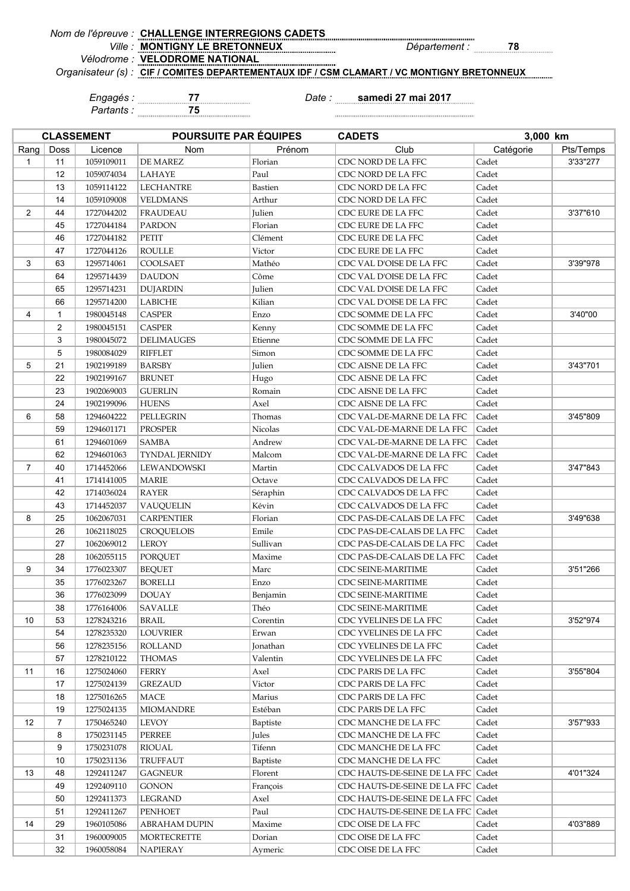| Nom de l'épreuve : CHALLENGE INTERREGIONS CADETS                                           |                      |
|--------------------------------------------------------------------------------------------|----------------------|
| <i>Ville:</i> MONTIGNY LE BRETONNEUX                                                       | <i>Département :</i> |
| Vélodrome : VELODROME NATIONAL                                                             |                      |
| Organisateur (s) : CIF / COMITES DEPARTEMENTAUX IDF / CSM CLAMART / VC MONTIGNY BRETONNEUX |                      |

*Partants :* **75**

**CLASSEMENT POURSUITE PAR ÉQUIPES**

*Engagés :* **77** *Date :* **samedi 27 mai 2017** 

**CADETS 3,000 km**

| Rang           | Doss           | Licence    | Nom                    | Prénom   | Club                                 | Catégorie | Pts/Temps |
|----------------|----------------|------------|------------------------|----------|--------------------------------------|-----------|-----------|
| $\mathbf{1}$   | 11             | 1059109011 | DE MAREZ               | Florian  | CDC NORD DE LA FFC                   | Cadet     | 3'33"277  |
|                | 12             | 1059074034 | LAHAYE                 | Paul     | CDC NORD DE LA FFC                   | Cadet     |           |
|                | 13             | 1059114122 | <b>LECHANTRE</b>       | Bastien  | CDC NORD DE LA FFC                   | Cadet     |           |
|                | 14             | 1059109008 | <b>VELDMANS</b>        | Arthur   | CDC NORD DE LA FFC                   | Cadet     |           |
| $\overline{2}$ | 44             | 1727044202 | <b>FRAUDEAU</b>        | Julien   | CDC EURE DE LA FFC                   | Cadet     | 3'37"610  |
|                | 45             | 1727044184 | <b>PARDON</b>          | Florian  | CDC EURE DE LA FFC                   | Cadet     |           |
|                | 46             | 1727044182 | PETIT                  | Clément  | CDC EURE DE LA FFC                   | Cadet     |           |
|                | 47             | 1727044126 | <b>ROULLE</b>          | Victor   | CDC EURE DE LA FFC                   | Cadet     |           |
| 3              | 63             | 1295714061 | COOLSAET               | Mathéo   | CDC VAL D'OISE DE LA FFC             | Cadet     | 3'39"978  |
|                | 64             | 1295714439 | <b>DAUDON</b>          | Côme     | CDC VAL D'OISE DE LA FFC             | Cadet     |           |
|                | 65             | 1295714231 | <b>DUJARDIN</b>        | Julien   | CDC VAL D'OISE DE LA FFC             | Cadet     |           |
|                | 66             | 1295714200 | LABICHE                | Kilian   | CDC VAL D'OISE DE LA FFC             | Cadet     |           |
| $\overline{4}$ | $\mathbf{1}$   | 1980045148 | <b>CASPER</b>          | Enzo     | CDC SOMME DE LA FFC                  | Cadet     | 3'40"00   |
|                | $\overline{2}$ | 1980045151 | <b>CASPER</b>          | Kenny    | CDC SOMME DE LA FFC                  | Cadet     |           |
|                | 3              | 1980045072 | <b>DELIMAUGES</b>      | Etienne  | CDC SOMME DE LA FFC                  | Cadet     |           |
|                | 5              | 1980084029 | <b>RIFFLET</b>         | Simon    | CDC SOMME DE LA FFC                  | Cadet     |           |
| 5              | 21             | 1902199189 | <b>BARSBY</b>          | Julien   | CDC AISNE DE LA FFC                  | Cadet     | 3'43"701  |
|                | 22             | 1902199167 | <b>BRUNET</b>          | Hugo     | CDC AISNE DE LA FFC                  | Cadet     |           |
|                | 23             | 1902069003 | <b>GUERLIN</b>         | Romain   | CDC AISNE DE LA FFC                  | Cadet     |           |
|                | 24             | 1902199096 | <b>HUENS</b>           | Axel     | CDC AISNE DE LA FFC                  | Cadet     |           |
| 6              | 58             | 1294604222 | PELLEGRIN              | Thomas   | CDC VAL-DE-MARNE DE LA FFC           | Cadet     | 3'45"809  |
|                | 59             | 1294601171 | <b>PROSPER</b>         | Nicolas  | CDC VAL-DE-MARNE DE LA FFC           | Cadet     |           |
|                | 61             | 1294601069 | <b>SAMBA</b>           | Andrew   | CDC VAL-DE-MARNE DE LA FFC           | Cadet     |           |
|                | 62             | 1294601063 | TYNDAL JERNIDY         | Malcom   | CDC VAL-DE-MARNE DE LA FFC           | Cadet     |           |
| $\overline{7}$ | 40             | 1714452066 | LEWANDOWSKI            | Martin   | CDC CALVADOS DE LA FFC               | Cadet     | 3'47"843  |
|                | 41             | 1714141005 | <b>MARIE</b>           | Octave   | CDC CALVADOS DE LA FFC               | Cadet     |           |
|                | 42             | 1714036024 | <b>RAYER</b>           | Séraphin | CDC CALVADOS DE LA FFC               | Cadet     |           |
|                | 43             | 1714452037 | VAUQUELIN              | Kévin    | CDC CALVADOS DE LA FFC               | Cadet     |           |
| 8              | 25             | 1062067031 | <b>CARPENTIER</b>      | Florian  | CDC PAS-DE-CALAIS DE LA FFC          | Cadet     | 3'49"638  |
|                | 26             | 1062118025 | CROQUELOIS             | Emile    | CDC PAS-DE-CALAIS DE LA FFC          | Cadet     |           |
|                | 27             | 1062069012 | <b>LEROY</b>           | Sullivan | CDC PAS-DE-CALAIS DE LA FFC          | Cadet     |           |
|                | 28             | 1062055115 | PORQUET                | Maxime   | CDC PAS-DE-CALAIS DE LA FFC          | Cadet     |           |
| 9              | 34             | 1776023307 | <b>BEQUET</b>          | Marc     | CDC SEINE-MARITIME                   | Cadet     | 3'51"266  |
|                | 35             | 1776023267 | <b>BORELLI</b>         | Enzo     | CDC SEINE-MARITIME                   | Cadet     |           |
|                | 36             | 1776023099 | <b>DOUAY</b>           | Benjamin | CDC SEINE-MARITIME                   | Cadet     |           |
|                | 38             | 1776164006 | SAVALLE                | Théo     | CDC SEINE-MARITIME                   | Cadet     |           |
| 10             | 53             | 1278243216 | $\operatorname{BRAIL}$ | Corentin | CDC YVELINES DE LA FFC               | Cadet     | 3'52"974  |
|                | 54             | 1278235320 | LOUVRIER               | Erwan    | CDC YVELINES DE LA FFC               | Cadet     |           |
|                | 56             | 1278235156 | <b>ROLLAND</b>         | Jonathan | CDC YVELINES DE LA FFC               | Cadet     |           |
|                | 57             | 1278210122 | <b>THOMAS</b>          | Valentin | CDC YVELINES DE LA FFC               | Cadet     |           |
| 11             | 16             | 1275024060 | FERRY                  | Axel     | CDC PARIS DE LA FFC                  | Cadet     | 3'55"804  |
|                | 17             | 1275024139 | <b>GREZAUD</b>         | Victor   | CDC PARIS DE LA FFC                  | Cadet     |           |
|                | 18             | 1275016265 | MACE                   | Marius   | CDC PARIS DE LA FFC                  | Cadet     |           |
|                | 19             | 1275024135 | <b>MIOMANDRE</b>       | Estéban  | CDC PARIS DE LA FFC                  | Cadet     |           |
| 12             | 7              | 1750465240 | <b>LEVOY</b>           | Baptiste | CDC MANCHE DE LA FFC                 | Cadet     | 3'57"933  |
|                | 8              | 1750231145 | <b>PERREE</b>          | Jules    | CDC MANCHE DE LA FFC                 | Cadet     |           |
|                | 9              | 1750231078 | <b>RIOUAL</b>          | Tifenn   | CDC MANCHE DE LA FFC                 | Cadet     |           |
|                | 10             | 1750231136 | TRUFFAUT               | Baptiste | CDC MANCHE DE LA FFC                 | Cadet     |           |
| 13             | 48             | 1292411247 | <b>GAGNEUR</b>         | Florent  | CDC HAUTS-DE-SEINE DE LA FFC   Cadet |           | 4'01"324  |
|                | 49             | 1292409110 | <b>GONON</b>           | François | CDC HAUTS-DE-SEINE DE LA FFC   Cadet |           |           |
|                | 50             | 1292411373 | LEGRAND                | Axel     | CDC HAUTS-DE-SEINE DE LA FFC   Cadet |           |           |
|                | 51             | 1292411267 | PENHOET                | Paul     | CDC HAUTS-DE-SEINE DE LA FFC         | Cadet     |           |
| 14             | 29             | 1960105086 | <b>ABRAHAM DUPIN</b>   | Maxime   | CDC OISE DE LA FFC                   | Cadet     | 4'03"889  |
|                | 31             | 1960009005 | <b>MORTECRETTE</b>     | Dorian   | CDC OISE DE LA FFC                   | Cadet     |           |
|                | 32             | 1960058084 | <b>NAPIERAY</b>        | Aymeric  | CDC OISE DE LA FFC                   | Cadet     |           |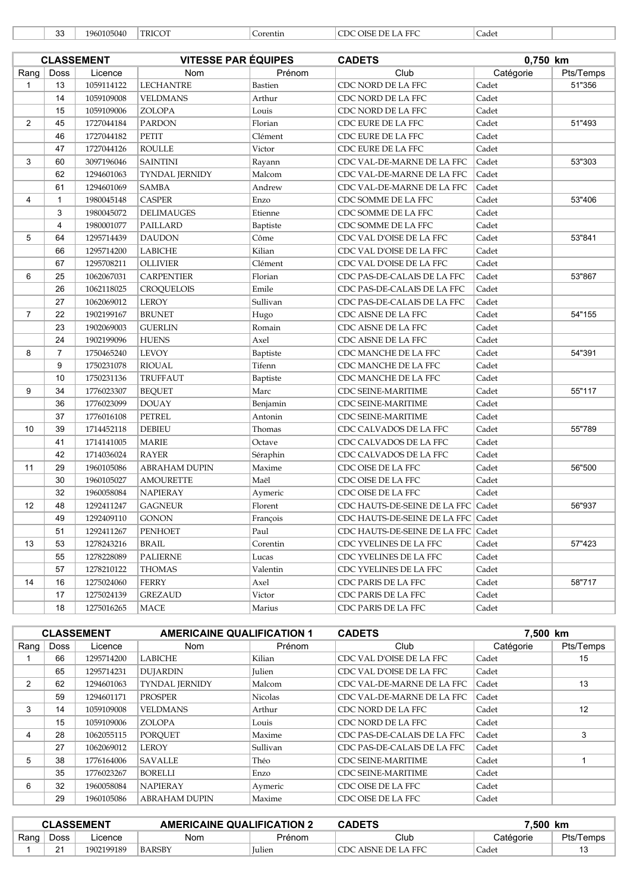|  | 33 | 19601050 |
|--|----|----------|
|--|----|----------|

040 TRICOT Corentin COC OISE DE LA FFC Cadet

|                |                | <b>CLASSEMENT</b> | <b>VITESSE PAR ÉQUIPES</b> |          | <b>CADETS</b>                        | 0,750 km  |           |
|----------------|----------------|-------------------|----------------------------|----------|--------------------------------------|-----------|-----------|
| Rang           | Doss           | Licence           | <b>Nom</b>                 | Prénom   | Club                                 | Catégorie | Pts/Temps |
| $\mathbf{1}$   | 13             | 1059114122        | <b>LECHANTRE</b>           | Bastien  | CDC NORD DE LA FFC                   | Cadet     | 51"356    |
|                | 14             | 1059109008        | <b>VELDMANS</b>            | Arthur   | CDC NORD DE LA FFC                   | Cadet     |           |
|                | 15             | 1059109006        | ZOLOPA                     | Louis    | CDC NORD DE LA FFC                   | Cadet     |           |
| $\overline{2}$ | 45             | 1727044184        | <b>PARDON</b>              | Florian  | CDC EURE DE LA FFC                   | Cadet     | 51"493    |
|                | 46             | 1727044182        | PETIT                      | Clément  | CDC EURE DE LA FFC                   | Cadet     |           |
|                | 47             | 1727044126        | <b>ROULLE</b>              | Victor   | CDC EURE DE LA FFC                   | Cadet     |           |
| 3              | 60             | 3097196046        | <b>SAINTINI</b>            | Rayann   | CDC VAL-DE-MARNE DE LA FFC           | Cadet     | 53"303    |
|                | 62             | 1294601063        | <b>TYNDAL JERNIDY</b>      | Malcom   | CDC VAL-DE-MARNE DE LA FFC           | Cadet     |           |
|                | 61             | 1294601069        | SAMBA                      | Andrew   | CDC VAL-DE-MARNE DE LA FFC           | Cadet     |           |
| 4              | $\mathbf{1}$   | 1980045148        | <b>CASPER</b>              | Enzo     | CDC SOMME DE LA FFC                  | Cadet     | 53"406    |
|                | 3              | 1980045072        | <b>DELIMAUGES</b>          | Etienne  | CDC SOMME DE LA FFC                  | Cadet     |           |
|                | $\overline{4}$ | 1980001077        | PAILLARD                   | Baptiste | CDC SOMME DE LA FFC                  | Cadet     |           |
| 5              | 64             | 1295714439        | <b>DAUDON</b>              | Côme     | CDC VAL D'OISE DE LA FFC             | Cadet     | 53"841    |
|                | 66             | 1295714200        | LABICHE                    | Kilian   | CDC VAL D'OISE DE LA FFC             | Cadet     |           |
|                | 67             | 1295708211        | <b>OLLIVIER</b>            | Clément  | CDC VAL D'OISE DE LA FFC             | Cadet     |           |
| 6              | 25             | 1062067031        | <b>CARPENTIER</b>          | Florian  | CDC PAS-DE-CALAIS DE LA FFC          | Cadet     | 53"867    |
|                | 26             | 1062118025        | <b>CROQUELOIS</b>          | Emile    | CDC PAS-DE-CALAIS DE LA FFC          | Cadet     |           |
|                | 27             | 1062069012        | LEROY                      | Sullivan | CDC PAS-DE-CALAIS DE LA FFC          | Cadet     |           |
| $\overline{7}$ | 22             | 1902199167        | <b>BRUNET</b>              | Hugo     | CDC AISNE DE LA FFC                  | Cadet     | 54"155    |
|                | 23             | 1902069003        | <b>GUERLIN</b>             | Romain   | CDC AISNE DE LA FFC                  | Cadet     |           |
|                | 24             | 1902199096        | <b>HUENS</b>               | Axel     | CDC AISNE DE LA FFC                  | Cadet     |           |
| 8              | $\overline{7}$ | 1750465240        | <b>LEVOY</b>               | Baptiste | CDC MANCHE DE LA FFC                 | Cadet     | 54"391    |
|                | 9              | 1750231078        | <b>RIOUAL</b>              | Tifenn   | CDC MANCHE DE LA FFC                 | Cadet     |           |
|                | 10             | 1750231136        | <b>TRUFFAUT</b>            | Baptiste | CDC MANCHE DE LA FFC                 | Cadet     |           |
| 9              | 34             | 1776023307        | <b>BEQUET</b>              | Marc     | CDC SEINE-MARITIME                   | Cadet     | 55"117    |
|                | 36             | 1776023099        | <b>DOUAY</b>               | Benjamin | <b>CDC SEINE-MARITIME</b>            | Cadet     |           |
|                | 37             | 1776016108        | PETREL                     | Antonin  | CDC SEINE-MARITIME                   | Cadet     |           |
| 10             | 39             | 1714452118        | <b>DEBIEU</b>              | Thomas   | CDC CALVADOS DE LA FFC               | Cadet     | 55"789    |
|                | 41             | 1714141005        | <b>MARIE</b>               | Octave   | CDC CALVADOS DE LA FFC               | Cadet     |           |
|                | 42             | 1714036024        | <b>RAYER</b>               | Séraphin | CDC CALVADOS DE LA FFC               | Cadet     |           |
| 11             | 29             | 1960105086        | <b>ABRAHAM DUPIN</b>       | Maxime   | CDC OISE DE LA FFC                   | Cadet     | 56"500    |
|                | 30             | 1960105027        | <b>AMOURETTE</b>           | Maël     | CDC OISE DE LA FFC                   | Cadet     |           |
|                | 32             | 1960058084        | <b>NAPIERAY</b>            | Aymeric  | CDC OISE DE LA FFC                   | Cadet     |           |
| 12             | 48             | 1292411247        | <b>GAGNEUR</b>             | Florent  | CDC HAUTS-DE-SEINE DE LA FFC         | Cadet     | 56"937    |
|                | 49             | 1292409110        | <b>GONON</b>               | François | CDC HAUTS-DE-SEINE DE LA FFC   Cadet |           |           |
|                | 51             | 1292411267        | <b>PENHOET</b>             | Paul     | CDC HAUTS-DE-SEINE DE LA FFC   Cadet |           |           |
| 13             | 53             | 1278243216        | BRAIL                      | Corentin | CDC YVELINES DE LA FFC               | Cadet     | 57"423    |
|                | 55             | 1278228089        | <b>PALIERNE</b>            | Lucas    | CDC YVELINES DE LA FFC               | Cadet     |           |
|                | 57             | 1278210122        | <b>THOMAS</b>              | Valentin | CDC YVELINES DE LA FFC               | Cadet     |           |
| 14             | 16             | 1275024060        | <b>FERRY</b>               | Axel     | CDC PARIS DE LA FFC                  | Cadet     | 58"717    |
|                | 17             | 1275024139        | <b>GREZAUD</b>             | Victor   | CDC PARIS DE LA FFC                  | Cadet     |           |
|                | 18             | 1275016265        | MACE                       | Marius   | CDC PARIS DE LA FFC                  | Cadet     |           |

|                |      | <b>CLASSEMENT</b> | <b>AMERICAINE QUALIFICATION 1</b> |                | 7.500 km<br><b>CADETS</b>   |           |                   |
|----------------|------|-------------------|-----------------------------------|----------------|-----------------------------|-----------|-------------------|
| Rang $ $       | Doss | Licence           | <b>Nom</b>                        | Prénom         | Club                        | Catégorie | Pts/Temps         |
|                | 66   | 1295714200        | <b>LABICHE</b>                    | Kilian         | CDC VAL D'OISE DE LA FFC    | Cadet     | 15                |
|                | 65   | 1295714231        | <b>DUJARDIN</b>                   | Julien         | CDC VAL D'OISE DE LA FFC    | Cadet     |                   |
| $\overline{2}$ | 62   | 1294601063        | <b>TYNDAL JERNIDY</b>             | Malcom         | CDC VAL-DE-MARNE DE LA FFC  | Cadet     | 13                |
|                | 59   | 1294601171        | PROSPER                           | <b>Nicolas</b> | CDC VAL-DE-MARNE DE LA FFC  | Cadet     |                   |
| 3              | 14   | 1059109008        | <b>VELDMANS</b>                   | Arthur         | CDC NORD DE LA FFC          | Cadet     | $12 \overline{ }$ |
|                | 15   | 1059109006        | <b>ZOLOPA</b>                     | Louis          | CDC NORD DE LA FFC          | Cadet     |                   |
| 4              | 28   | 1062055115        | <b>POROUET</b>                    | Maxime         | CDC PAS-DE-CALAIS DE LA FFC | Cadet     | 3                 |
|                | 27   | 1062069012        | <b>LEROY</b>                      | Sullivan       | CDC PAS-DE-CALAIS DE LA FFC | Cadet     |                   |
| 5              | 38   | 1776164006        | <b>SAVALLE</b>                    | Théo           | <b>CDC SEINE-MARITIME</b>   | Cadet     |                   |
|                | 35   | 1776023267        | <b>BORELLI</b>                    | Enzo           | <b>CDC SEINE-MARITIME</b>   | Cadet     |                   |
| 6              | 32   | 1960058084        | <b>NAPIERAY</b>                   | Aymeric        | CDC OISE DE LA FFC          | Cadet     |                   |
|                | 29   | 1960105086        | <b>ABRAHAM DUPIN</b>              | Maxime         | CDC OISE DE LA FFC          | Cadet     |                   |

| <b>CLASSEMENT</b> |              |            | <b>AMERICAINE QUALIFICATION 2</b> |               | <b>CADETS</b>           | '.500<br><b>km</b> |           |
|-------------------|--------------|------------|-----------------------------------|---------------|-------------------------|--------------------|-----------|
| Rang              | Doss         | _icence    | Nom                               | Prénom        | Club                    | Catégorie          | Pts/Temps |
|                   | $2^{\prime}$ | 1902199189 | <b>BARSBY</b>                     | <b>Iulien</b> | AISNE DE LA FFC<br>CDC. | _adet              |           |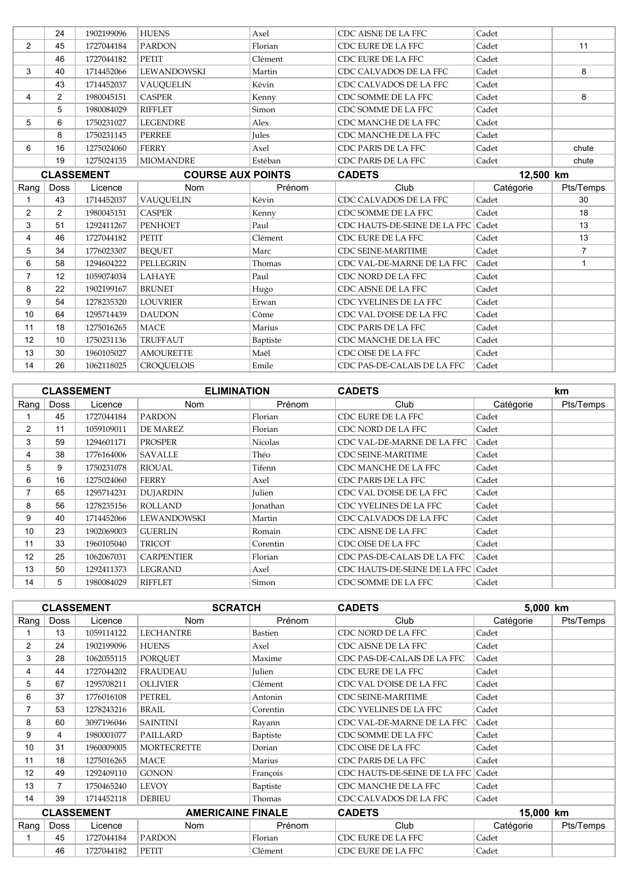|                   | 24             | 1902199096 | <b>HUENS</b>             | Axel         | CDC AISNE DE LA FFC          | Cadet     |                |
|-------------------|----------------|------------|--------------------------|--------------|------------------------------|-----------|----------------|
| $\overline{2}$    | 45             | 1727044184 | <b>PARDON</b>            | Florian      | CDC EURE DE LA FFC           | Cadet     | 11             |
|                   | 46             | 1727044182 | <b>PETIT</b>             | Clément      | CDC EURE DE LA FFC           | Cadet     |                |
| 3                 | 40             | 1714452066 | LEWANDOWSKI              | Martin       | CDC CALVADOS DE LA FFC       | Cadet     | 8              |
|                   | 43             | 1714452037 | <b>VAUOUELIN</b>         | Kévin        | CDC CALVADOS DE LA FFC       | Cadet     |                |
| 4                 | $\overline{2}$ | 1980045151 | <b>CASPER</b>            | Kenny        | CDC SOMME DE LA FFC          | Cadet     | 8              |
|                   | 5              | 1980084029 | <b>RIFFLET</b>           | Simon        | CDC SOMME DE LA FFC          | Cadet     |                |
| 5                 | 6              | 1750231027 | <b>LEGENDRE</b>          | Alex         | CDC MANCHE DE LA FFC         | Cadet     |                |
|                   | 8              | 1750231145 | <b>PERREE</b>            | <b>Jules</b> | CDC MANCHE DE LA FFC         | Cadet     |                |
| 6                 | 16             | 1275024060 | <b>FERRY</b>             | Axel         | CDC PARIS DE LA FFC          | Cadet     | chute          |
|                   | 19             | 1275024135 | <b>MIOMANDRE</b>         | Estéban      | CDC PARIS DE LA FFC          | Cadet     | chute          |
| <b>CLASSEMENT</b> |                |            | <b>COURSE AUX POINTS</b> |              | <b>CADETS</b>                | 12,500 km |                |
| Rang              | Doss           | Licence    | <b>Nom</b>               | Prénom       | Club                         | Catégorie | Pts/Temps      |
| 1                 | 43             | 1714452037 | <b>VAUQUELIN</b>         | Kévin        | CDC CALVADOS DE LA FFC       | Cadet     | 30             |
| $\overline{2}$    | $\overline{2}$ | 1980045151 | <b>CASPER</b>            | Kenny        | CDC SOMME DE LA FFC          | Cadet     | 18             |
| 3                 | 51             | 1292411267 | <b>PENHOET</b>           | Paul         | CDC HAUTS-DE-SEINE DE LA FFC | Cadet     | 13             |
| 4                 | 46             | 1727044182 | PETIT                    | Clément      | CDC EURE DE LA FFC           | Cadet     | 13             |
| 5                 | 34             | 1776023307 | <b>BEOUET</b>            | Marc         | <b>CDC SEINE-MARITIME</b>    | Cadet     | $\overline{7}$ |
| 6                 | 58             | 1294604222 | PELLEGRIN                | Thomas       | CDC VAL-DE-MARNE DE LA FFC   | Cadet     | $\mathbf{1}$   |
| $\overline{7}$    | 12             | 1059074034 | LAHAYE                   | Paul         | CDC NORD DE LA FFC           | Cadet     |                |
| 8                 | 22             | 1902199167 | <b>BRUNET</b>            | Hugo         | CDC AISNE DE LA FFC          | Cadet     |                |
| 9                 | 54             | 1278235320 | <b>LOUVRIER</b>          | Erwan        | CDC YVELINES DE LA FFC       | Cadet     |                |
| 10                | 64             | 1295714439 | <b>DAUDON</b>            | Côme         | CDC VAL D'OISE DE LA FFC     | Cadet     |                |
| 11                | 18             | 1275016265 | <b>MACE</b>              | Marius       | CDC PARIS DE LA FFC          | Cadet     |                |
| 12                | 10             | 1750231136 | TRUFFAUT                 | Baptiste     | CDC MANCHE DE LA FFC         | Cadet     |                |
| 13                | 30             | 1960105027 | <b>AMOURETTE</b>         | Maël         | CDC OISE DE LA FFC           | Cadet     |                |
| 14                | 26             | 1062118025 | <b>CROOUELOIS</b>        | Emile        | CDC PAS-DE-CALAIS DE LA FFC  | Cadet     |                |

|      |             | <b>CLASSEMENT</b> | <b>ELIMINATION</b> |                | <b>CADETS</b>                      |           | <b>km</b> |
|------|-------------|-------------------|--------------------|----------------|------------------------------------|-----------|-----------|
| Rang | <b>Doss</b> | Licence           | Nom                | Prénom         | Club                               | Catégorie | Pts/Temps |
|      | 45          | 1727044184        | <b>PARDON</b>      | Florian        | CDC EURE DE LA FFC                 | Cadet     |           |
| 2    | 11          | 1059109011        | DE MAREZ           | Florian        | CDC NORD DE LA FFC                 | Cadet     |           |
| 3    | 59          | 1294601171        | <b>PROSPER</b>     | <b>Nicolas</b> | CDC VAL-DE-MARNE DE LA FFC         | Cadet     |           |
| 4    | 38          | 1776164006        | <b>SAVALLE</b>     | Théo           | <b>CDC SEINE-MARITIME</b>          | Cadet     |           |
| 5    | 9           | 1750231078        | <b>RIOUAL</b>      | Tifenn         | CDC MANCHE DE LA FFC               | Cadet     |           |
| 6    | 16          | 1275024060        | <b>FERRY</b>       | Axel           | CDC PARIS DE LA FFC                | Cadet     |           |
| 7    | 65          | 1295714231        | <b>DUJARDIN</b>    | Julien         | CDC VAL D'OISE DE LA FFC           | Cadet     |           |
| 8    | 56          | 1278235156        | <b>ROLLAND</b>     | Jonathan       | CDC YVELINES DE LA FFC             | Cadet     |           |
| 9    | 40          | 1714452066        | LEWANDOWSKI        | Martin         | CDC CALVADOS DE LA FFC             | Cadet     |           |
| 10   | 23          | 1902069003        | <b>GUERLIN</b>     | Romain         | CDC AISNE DE LA FFC                | Cadet     |           |
| 11   | 33          | 1960105040        | <b>TRICOT</b>      | Corentin       | CDC OISE DE LA FFC                 | Cadet     |           |
| 12   | 25          | 1062067031        | <b>CARPENTIER</b>  | Florian        | CDC PAS-DE-CALAIS DE LA FFC        | Cadet     |           |
| 13   | 50          | 1292411373        | <b>LEGRAND</b>     | Axel           | CDC HAUTS-DE-SEINE DE LA FFC Cadet |           |           |
| 14   | 5           | 1980084029        | <b>RIFFLET</b>     | Simon          | CDC SOMME DE LA FFC                | Cadet     |           |

|                   |                | <b>CLASSEMENT</b> | <b>SCRATCH</b>           |          | <b>CADETS</b>                |           | 5,000 km  |  |
|-------------------|----------------|-------------------|--------------------------|----------|------------------------------|-----------|-----------|--|
| Rang              | <b>Doss</b>    | Licence           | <b>Nom</b>               | Prénom   | Club                         | Catégorie | Pts/Temps |  |
|                   | 13             | 1059114122        | <b>LECHANTRE</b>         | Bastien  | CDC NORD DE LA FFC           | Cadet     |           |  |
| $\overline{2}$    | 24             | 1902199096        | <b>HUENS</b>             | Axel     | CDC AISNE DE LA FFC          | Cadet     |           |  |
| 3                 | 28             | 1062055115        | <b>PORQUET</b>           | Maxime   | CDC PAS-DE-CALAIS DE LA FFC  | Cadet     |           |  |
| 4                 | 44             | 1727044202        | <b>FRAUDEAU</b>          | Julien   | CDC EURE DE LA FFC           | Cadet     |           |  |
| 5                 | 67             | 1295708211        | <b>OLLIVIER</b>          | Clément  | CDC VAL D'OISE DE LA FFC     | Cadet     |           |  |
| 6                 | 37             | 1776016108        | <b>PETREL</b>            | Antonin  | <b>CDC SEINE-MARITIME</b>    | Cadet     |           |  |
| $\overline{7}$    | 53             | 1278243216        | <b>BRAIL</b>             | Corentin | CDC YVELINES DE LA FFC       | Cadet     |           |  |
| 8                 | 60             | 3097196046        | <b>SAINTINI</b>          | Rayann   | CDC VAL-DE-MARNE DE LA FFC   | Cadet     |           |  |
| 9                 | 4              | 1980001077        | PAILLARD                 | Baptiste | CDC SOMME DE LA FFC          | Cadet     |           |  |
| 10                | 31             | 1960009005        | <b>MORTECRETTE</b>       | Dorian   | CDC OISE DE LA FFC           | Cadet     |           |  |
| 11                | 18             | 1275016265        | <b>MACE</b>              | Marius   | CDC PARIS DE LA FFC          | Cadet     |           |  |
| 12                | 49             | 1292409110        | <b>GONON</b>             | Francois | CDC HAUTS-DE-SEINE DE LA FFC | Cadet     |           |  |
| 13                | $\overline{7}$ | 1750465240        | <b>LEVOY</b>             | Baptiste | CDC MANCHE DE LA FFC         | Cadet     |           |  |
| 14                | 39             | 1714452118        | <b>DEBIEU</b>            | Thomas   | CDC CALVADOS DE LA FFC       | Cadet     |           |  |
| <b>CLASSEMENT</b> |                |                   | <b>AMERICAINE FINALE</b> |          | <b>CADETS</b>                | 15,000 km |           |  |
| Rang              | <b>Doss</b>    | Licence           | <b>Nom</b>               | Prénom   | Club                         | Catégorie | Pts/Temps |  |
|                   | 45             | 1727044184        | <b>PARDON</b>            | Florian  | CDC EURE DE LA FFC           | Cadet     |           |  |
|                   | 46             | 1727044182        | PETIT                    | Clément  | CDC EURE DE LA FFC           | Cadet     |           |  |